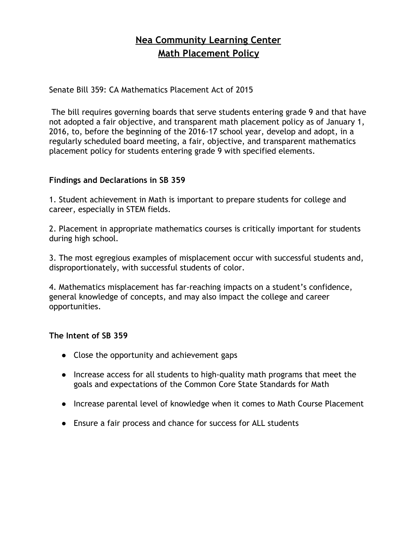## **Nea Community Learning Center Math Placement Policy**

Senate Bill 359: CA Mathematics Placement Act of 2015

The bill requires governing boards that serve students entering grade 9 and that have not adopted a fair objective, and transparent math placement policy as of January 1, 2016, to, before the beginning of the 2016‐17 school year, develop and adopt, in a regularly scheduled board meeting, a fair, objective, and transparent mathematics placement policy for students entering grade 9 with specified elements.

## **Findings and Declarations in SB 359**

1. Student achievement in Math is important to prepare students for college and career, especially in STEM fields.

2. Placement in appropriate mathematics courses is critically important for students during high school.

3. The most egregious examples of misplacement occur with successful students and, disproportionately, with successful students of color.

4. Mathematics misplacement has far‐reaching impacts on a student's confidence, general knowledge of concepts, and may also impact the college and career opportunities.

## **The Intent of SB 359**

- Close the opportunity and achievement gaps
- Increase access for all students to high-quality math programs that meet the goals and expectations of the Common Core State Standards for Math
- Increase parental level of knowledge when it comes to Math Course Placement
- Ensure a fair process and chance for success for ALL students